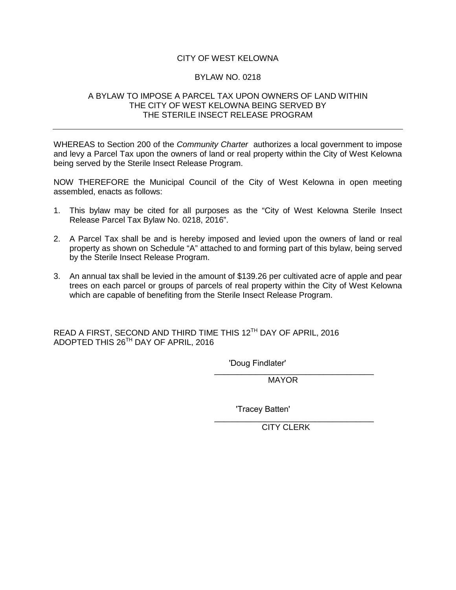## CITY OF WEST KELOWNA

## BYLAW NO. 0218

## A BYLAW TO IMPOSE A PARCEL TAX UPON OWNERS OF LAND WITHIN THE CITY OF WEST KELOWNA BEING SERVED BY THE STERILE INSECT RELEASE PROGRAM

WHEREAS to Section 200 of the *Community Charter* authorizes a local government to impose and levy a Parcel Tax upon the owners of land or real property within the City of West Kelowna being served by the Sterile Insect Release Program.

NOW THEREFORE the Municipal Council of the City of West Kelowna in open meeting assembled, enacts as follows:

- 1. This bylaw may be cited for all purposes as the "City of West Kelowna Sterile Insect Release Parcel Tax Bylaw No. 0218, 2016".
- 2. A Parcel Tax shall be and is hereby imposed and levied upon the owners of land or real property as shown on Schedule "A" attached to and forming part of this bylaw, being served by the Sterile Insect Release Program.
- 3. An annual tax shall be levied in the amount of \$139.26 per cultivated acre of apple and pear trees on each parcel or groups of parcels of real property within the City of West Kelowna which are capable of benefiting from the Sterile Insect Release Program.

READ A FIRST, SECOND AND THIRD TIME THIS 12<sup>TH</sup> DAY OF APRIL, 2016 ADOPTED THIS 26TH DAY OF APRIL, 2016

> \_\_\_\_\_\_\_\_\_\_\_\_\_\_\_\_\_\_\_\_\_\_\_\_\_\_\_\_\_\_\_\_\_\_\_ 'Doug Findlater'

MAYOR

'Tracey Batten'

\_\_\_\_\_\_\_\_\_\_\_\_\_\_\_\_\_\_\_\_\_\_\_\_\_\_\_\_\_\_\_\_\_\_\_ CITY CLERK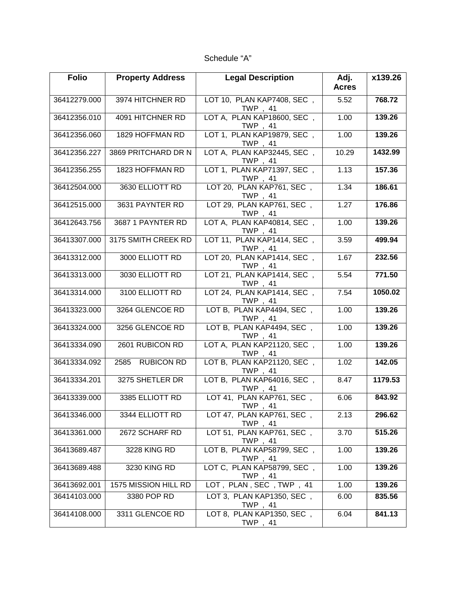## Schedule "A"

| <b>Folio</b> | <b>Property Address</b>   | <b>Legal Description</b>              | Adj.<br><b>Acres</b> | x139.26 |
|--------------|---------------------------|---------------------------------------|----------------------|---------|
| 36412279.000 | 3974 HITCHNER RD          | LOT 10, PLAN KAP7408, SEC,<br>TWP, 41 | 5.52                 | 768.72  |
| 36412356.010 | 4091 HITCHNER RD          | LOT A, PLAN KAP18600, SEC,<br>TWP, 41 | 1.00                 | 139.26  |
| 36412356.060 | 1829 HOFFMAN RD           | LOT 1, PLAN KAP19879, SEC,<br>TWP, 41 | 1.00                 | 139.26  |
| 36412356.227 | 3869 PRITCHARD DR N       | LOT A, PLAN KAP32445, SEC,<br>TWP, 41 | 10.29                | 1432.99 |
| 36412356.255 | 1823 HOFFMAN RD           | LOT 1, PLAN KAP71397, SEC,<br>TWP, 41 | 1.13                 | 157.36  |
| 36412504.000 | 3630 ELLIOTT RD           | LOT 20, PLAN KAP761, SEC,<br>TWP, 41  | 1.34                 | 186.61  |
| 36412515.000 | 3631 PAYNTER RD           | LOT 29, PLAN KAP761, SEC,<br>TWP, 41  | 1.27                 | 176.86  |
| 36412643.756 | 3687 1 PAYNTER RD         | LOT A, PLAN KAP40814, SEC,<br>TWP, 41 | 1.00                 | 139.26  |
| 36413307.000 | 3175 SMITH CREEK RD       | LOT 11, PLAN KAP1414, SEC,<br>TWP, 41 | 3.59                 | 499.94  |
| 36413312.000 | 3000 ELLIOTT RD           | LOT 20, PLAN KAP1414, SEC,<br>TWP, 41 | 1.67                 | 232.56  |
| 36413313.000 | 3030 ELLIOTT RD           | LOT 21, PLAN KAP1414, SEC,<br>TWP, 41 | 5.54                 | 771.50  |
| 36413314.000 | 3100 ELLIOTT RD           | LOT 24, PLAN KAP1414, SEC,<br>TWP, 41 | 7.54                 | 1050.02 |
| 36413323.000 | 3264 GLENCOE RD           | LOT B, PLAN KAP4494, SEC,<br>TWP, 41  | 1.00                 | 139.26  |
| 36413324.000 | 3256 GLENCOE RD           | LOT B, PLAN KAP4494, SEC,<br>TWP, 41  | 1.00                 | 139.26  |
| 36413334.090 | 2601 RUBICON RD           | LOT A, PLAN KAP21120, SEC,<br>TWP, 41 | 1.00                 | 139.26  |
| 36413334.092 | <b>RUBICON RD</b><br>2585 | LOT B, PLAN KAP21120, SEC,<br>TWP, 41 | 1.02                 | 142.05  |
| 36413334.201 | 3275 SHETLER DR           | LOT B, PLAN KAP64016, SEC,<br>TWP, 41 | 8.47                 | 1179.53 |
| 36413339.000 | 3385 ELLIOTT RD           | LOT 41, PLAN KAP761, SEC,<br>TWP, 41  | 6.06                 | 843.92  |
| 36413346.000 | 3344 ELLIOTT RD           | LOT 47, PLAN KAP761, SEC,<br>TWP, 41  | 2.13                 | 296.62  |
| 36413361.000 | 2672 SCHARF RD            | LOT 51, PLAN KAP761, SEC,<br>TWP, 41  | 3.70                 | 515.26  |
| 36413689.487 | 3228 KING RD              | LOT B, PLAN KAP58799, SEC,<br>TWP, 41 | 1.00                 | 139.26  |
| 36413689.488 | 3230 KING RD              | LOT C, PLAN KAP58799, SEC,<br>TWP, 41 | 1.00                 | 139.26  |
| 36413692.001 | 1575 MISSION HILL RD      | LOT, PLAN, SEC, TWP, 41               | 1.00                 | 139.26  |
| 36414103.000 | 3380 POP RD               | LOT 3, PLAN KAP1350, SEC,<br>TWP, 41  | 6.00                 | 835.56  |
| 36414108.000 | 3311 GLENCOE RD           | LOT 8, PLAN KAP1350, SEC,<br>TWP, 41  | 6.04                 | 841.13  |